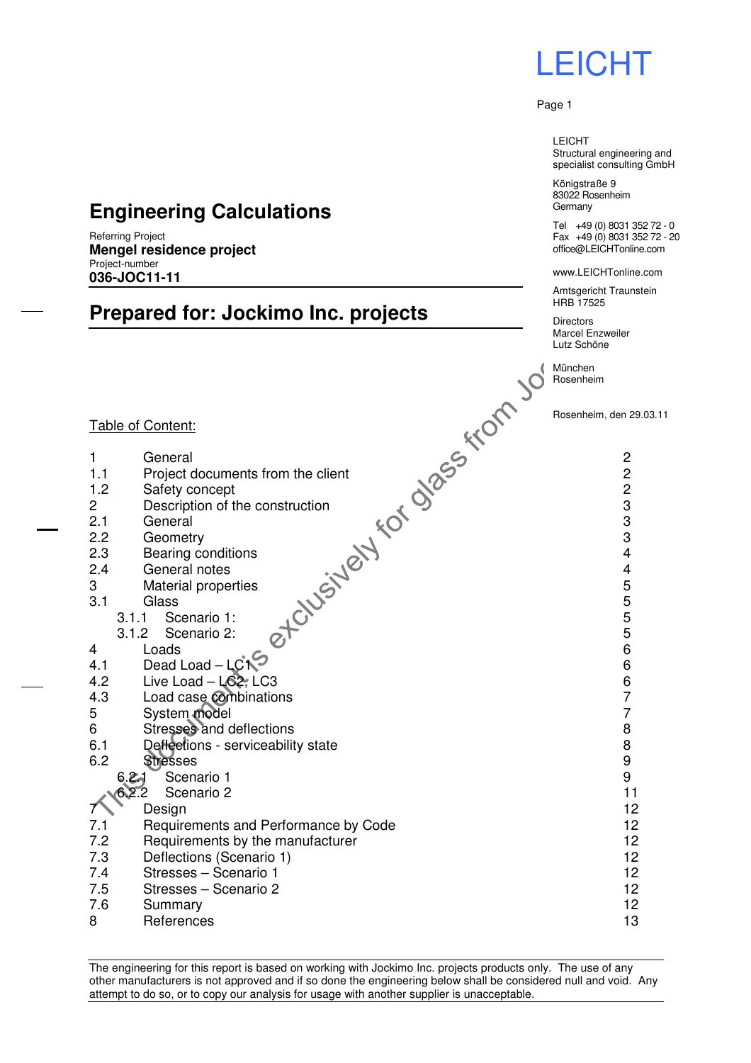LEICHT Structural engineering and specialist consulting GmbH

Königstraße 9 83022 Rosenheim **Germany** 

Tel +49 (0) 8031 352 72 - 0 Fax +49 (0) 8031 352 72 - 20 office@LEICHTonline.com

www.LEICHTonline.com

Amtsgericht Traunstein HRB 17525

**Directors** Marcel Enzweiler Lutz Schöne

München Rosenheim

#### Rosenheim, den 29.03.11

### **Engineering Calculations**

Referring Project **Mengel residence project**  Project-number **036-JOC11-11** 

### **Prepared for: Jockimo Inc. projects**

#### Table of Content:

- 1 General 2
- 1.1 Project documents from the client 2
- 1.2 Safety concept 2
- 2 Description of the construction 3 3
- 2.1 General 3
- 2.2 Geometry 3
- 2.3 Bearing conditions 4
- 2.4 General notes  $\sim$   $\sim$   $\sim$   $\sim$  4
- 3 Material properties 6 S  $3.1$  Glass  $5$
- - 3.1.1 Scenario 1:  $\qquad \qquad \mathbf{C}$  5 3.1.2 Scenario 2:  $\overline{O}$  5
- 4 Loads 6
- $4.1$  Dead Load LCN<sup> $\sim$ </sup>
- 4.2 Live Load LC2, LC3 6
- 4.3 Load case combinations **7**<br>5 System model **7**
- 5 System model 7
- 6 Stresses and deflections 8
- 6.1 Deflections serviceability state 8 and 8 and 8 and 8 and 8 and 8 and 8 and 8 and 8 and 8 and 8 and 8 and 8 and 8 and 8 and 8 and 8 and 8 and 8 and 8 and 8 and 8 and 8 and 8 and 8 and 8 and 8 and 8 and 8 and 8 and 8 a
- 6.2 Stresses 9
	- 6.2.1 Scenario 1 9
	- 6.2.2 Scenario 2 11
- 7 Design 12
- 7.1 Requirements and Performance by Code 12
- 7.2 Requirements by the manufacturer 12 7.3 Deflections (Scenario 1) 12
- 7.4 Stresses Scenario 1 12
- 
- 7.5 Stresses Scenario 2 12
- 7.6 Summary 12
- 8 References 13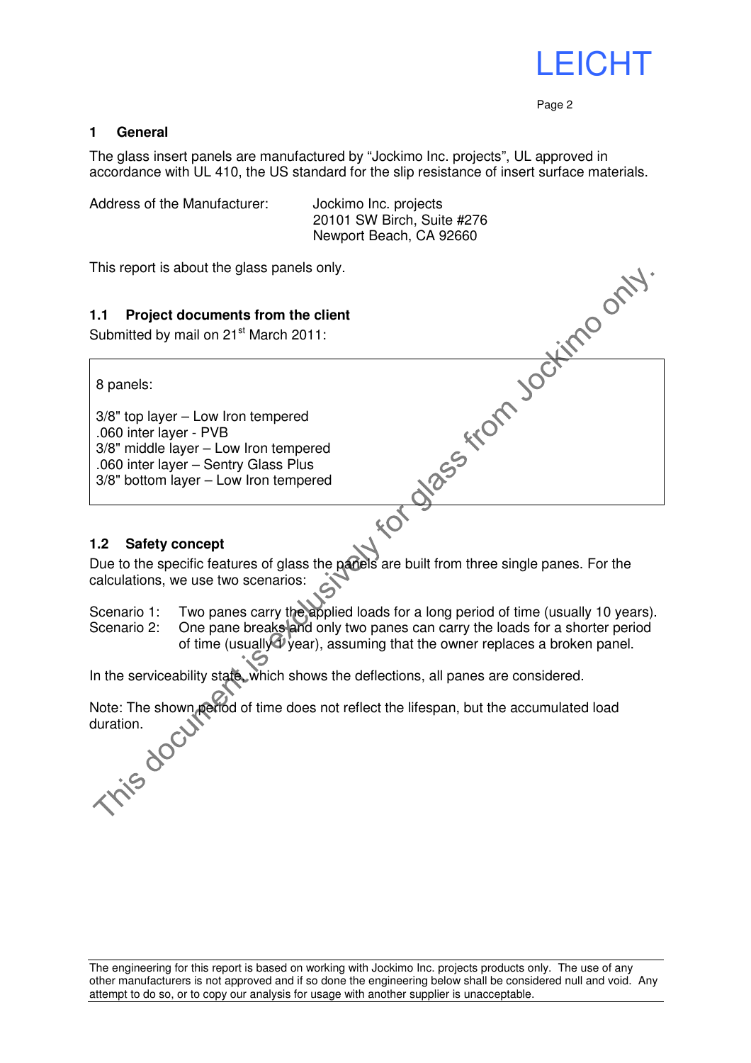

#### **1 General**

The glass insert panels are manufactured by "Jockimo Inc. projects", UL approved in accordance with UL 410, the US standard for the slip resistance of insert surface materials.

Address of the Manufacturer: Jockimo Inc. projects

Newport Beach, CA 92660

This report is about the glass panels only.

#### **1.1 Project documents from the client**

Submitted by mail on 21<sup>st</sup> March 2011:

8 panels:

3/8" top layer – Low Iron tempered .060 inter layer - PVB 3/8" middle layer – Low Iron tempered .060 inter layer – Sentry Glass Plus 3/8" bottom layer – Low Iron tempered

#### **1.2 Safety concept**

20101 SW Birch, Suite #276<br>
Newport Beach, CA 92660<br>
only.<br>
client<br>
1:<br>  $\begin{bmatrix}\n\downarrow & \downarrow & \downarrow & \downarrow \\
\downarrow & & & \downarrow & \downarrow \\
\downarrow & & & \downarrow & \downarrow \\
\downarrow & & & \downarrow & \downarrow \\
\downarrow & & & \downarrow & \downarrow \\
\downarrow & & & \downarrow & \downarrow \\
\downarrow & & & \downarrow & \downarrow \\
\downarrow & & & \downarrow & \downarrow \\
\downarrow & & & \downarrow & \downarrow \\
\downarrow & & & \downarrow & \downarrow$ Due to the specific features of glass the panels are built from three single panes. For the calculations, we use two scenarios:

Scenario 1: Two panes carry the applied loads for a long period of time (usually 10 years).

Scenario 2: One pane breaks and only two panes can carry the loads for a shorter period of time (usually  $\Phi$  vear), assuming that the owner replaces a broken panel.

In the serviceability state, which shows the deflections, all panes are considered.

Note: The shown period of time does not reflect the lifespan, but the accumulated load<br>duration **This doctif**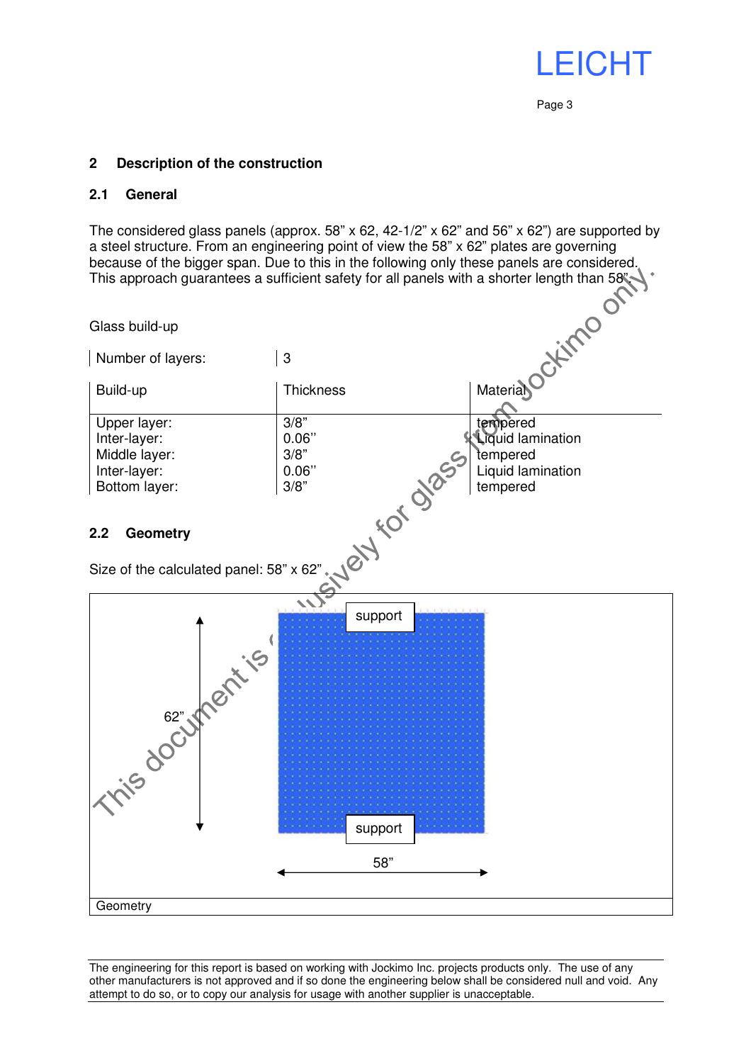#### **2 Description of the construction**

#### **2.1 General**

The considered glass panels (approx. 58" x 62, 42-1/2" x 62" and 56" x 62") are supported by a steel structure. From an engineering point of view the 58" x 62" plates are governing because of the bigger span. Due to this in the following only these panels are considered. This approach guarantees a sufficient safety for all panels with a shorter length than 58".

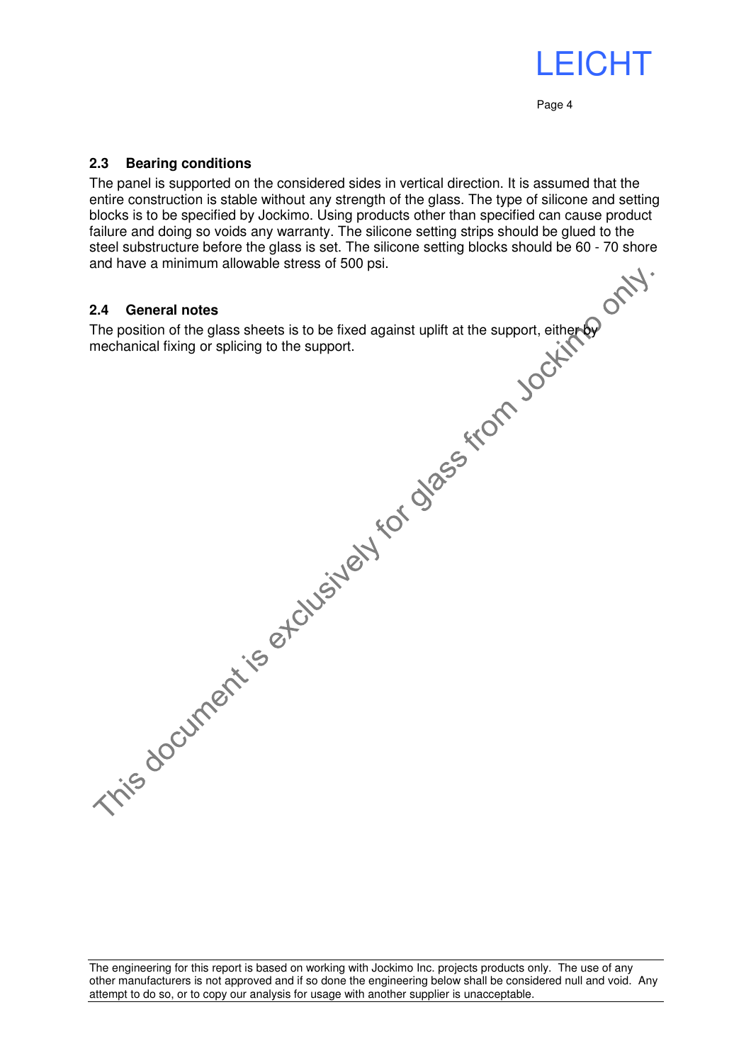#### **2.3 Bearing conditions**

The panel is supported on the considered sides in vertical direction. It is assumed that the entire construction is stable without any strength of the glass. The type of silicone and setting blocks is to be specified by Jockimo. Using products other than specified can cause product failure and doing so voids any warranty. The silicone setting strips should be glued to the steel substructure before the glass is set. The silicone setting blocks should be 60 - 70 shore steel substructure before the glass is set. The silicone setting blocks should be 60 - 70 shore and have a minimum allowable stress of 500 psi.

#### **2.4 General notes**

The position of the glass sheets is to be fixed against uplift at the support, either by mechanical fixing or splicing to the support.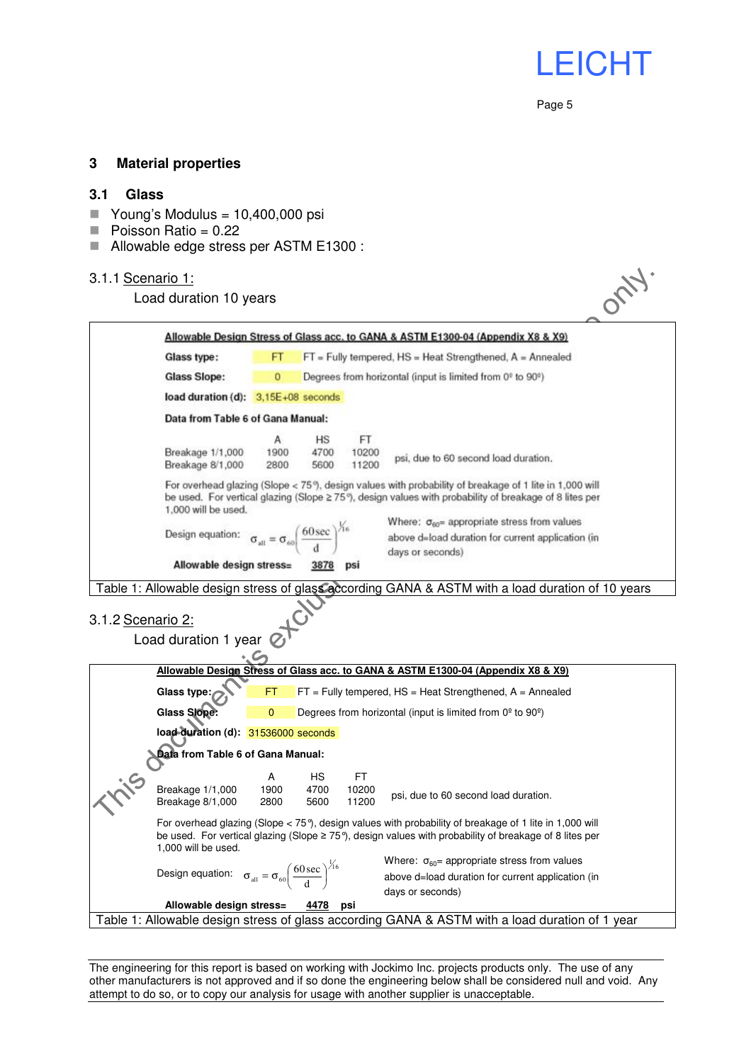#### **3 Material properties**

#### **3.1 Glass**

- Young's Modulus =  $10,400,000$  psi
- $\blacksquare$  Poisson Ratio = 0.22
- Allowable edge stress per ASTM E1300 :

#### 3.1.1 Scenario 1:

#### Load duration 10 years

| 3.1.1 Scenario 1:                                                                                                                                | Load duration 10 years                                                                                                                                                                                                                       |                                                                       |                    |                       |                                                                                                                                |  |  |  |  |
|--------------------------------------------------------------------------------------------------------------------------------------------------|----------------------------------------------------------------------------------------------------------------------------------------------------------------------------------------------------------------------------------------------|-----------------------------------------------------------------------|--------------------|-----------------------|--------------------------------------------------------------------------------------------------------------------------------|--|--|--|--|
|                                                                                                                                                  | Allowable Design Stress of Glass acc. to GANA & ASTM E1300-04 (Appendix X8 & X9)                                                                                                                                                             |                                                                       |                    |                       |                                                                                                                                |  |  |  |  |
|                                                                                                                                                  | Glass type:                                                                                                                                                                                                                                  | FT<br>$FT$ = Fully tempered, $HS$ = Heat Strengthened, $A$ = Annealed |                    |                       |                                                                                                                                |  |  |  |  |
|                                                                                                                                                  | <b>Glass Slope:</b>                                                                                                                                                                                                                          | 0<br>Degrees from horizontal (input is limited from 0° to 90°)        |                    |                       |                                                                                                                                |  |  |  |  |
|                                                                                                                                                  |                                                                                                                                                                                                                                              | load duration (d): 3.15E+08 seconds                                   |                    |                       |                                                                                                                                |  |  |  |  |
|                                                                                                                                                  | Data from Table 6 of Gana Manual:                                                                                                                                                                                                            |                                                                       |                    |                       |                                                                                                                                |  |  |  |  |
|                                                                                                                                                  | Breakage 1/1,000<br>Breakage 8/1,000                                                                                                                                                                                                         | А<br>1900<br>2800                                                     | HS<br>4700<br>5600 | FT.<br>10200<br>11200 | psi, due to 60 second load duration.                                                                                           |  |  |  |  |
|                                                                                                                                                  | For overhead glazing (Slope < 75°), design values with probability of breakage of 1 lite in 1,000 will<br>be used. For vertical glazing (Slope ≳ 75°), design values with probability of breakage of 8 lites per<br>1,000 will be used.      |                                                                       |                    |                       |                                                                                                                                |  |  |  |  |
|                                                                                                                                                  | Design equation: $\sigma_{\text{alt}} = \sigma_{\text{sol}} \left( \frac{60 \text{ sec}}{d} \right)^{\frac{1}{16}}$                                                                                                                          |                                                                       |                    |                       | Where: $\sigma_{60}$ = appropriate stress from values<br>above d=load duration for current application (in<br>days or seconds) |  |  |  |  |
|                                                                                                                                                  | Allowable design stress=                                                                                                                                                                                                                     |                                                                       | 3878               | psi                   |                                                                                                                                |  |  |  |  |
| 3.1.2 Scenario 2:                                                                                                                                | Load duration 1 year                                                                                                                                                                                                                         |                                                                       |                    |                       |                                                                                                                                |  |  |  |  |
|                                                                                                                                                  |                                                                                                                                                                                                                                              |                                                                       |                    |                       | Allowable Design Stress of Glass acc. to GANA & ASTM E1300-04 (Appendix X8 & X9)                                               |  |  |  |  |
|                                                                                                                                                  | Glass type:                                                                                                                                                                                                                                  | FT                                                                    |                    |                       | $FT$ = Fully tempered, $HS$ = Heat Strengthened, $A$ = Annealed                                                                |  |  |  |  |
|                                                                                                                                                  | <b>Glass Slope:</b><br>$\mathbf{0}$<br>Degrees from horizontal (input is limited from $0^{\circ}$ to $90^{\circ}$ )                                                                                                                          |                                                                       |                    |                       |                                                                                                                                |  |  |  |  |
|                                                                                                                                                  | load duration (d): 31536000 seconds                                                                                                                                                                                                          |                                                                       |                    |                       |                                                                                                                                |  |  |  |  |
|                                                                                                                                                  | Data from Table 6 of Gana Manual:                                                                                                                                                                                                            |                                                                       |                    |                       |                                                                                                                                |  |  |  |  |
|                                                                                                                                                  | Breakage 1/1,000<br>Breakage 8/1,000                                                                                                                                                                                                         | А<br>1900<br>2800                                                     | НS<br>4700<br>5600 | FT.<br>10200<br>11200 | psi, due to 60 second load duration.                                                                                           |  |  |  |  |
|                                                                                                                                                  | For overhead glazing (Slope < 75°), design values with probability of breakage of 1 lite in 1,000 will<br>be used. For vertical glazing (Slope $\geq$ 75°), design values with probability of breakage of 8 lites per<br>1,000 will be used. |                                                                       |                    |                       |                                                                                                                                |  |  |  |  |
|                                                                                                                                                  | Design equation: $\sigma_{\text{all}} = \sigma_{60} \left( \frac{60 \text{ sec}}{d} \right)^{\frac{1}{16}}$                                                                                                                                  |                                                                       |                    |                       | Where: $\sigma_{60}$ = appropriate stress from values<br>above d=load duration for current application (in<br>days or seconds) |  |  |  |  |
| Allowable design stress=<br><u>4478</u><br>psi<br>Table 1: Allowable design stress of glass according GANA & ASTM with a load duration of 1 year |                                                                                                                                                                                                                                              |                                                                       |                    |                       |                                                                                                                                |  |  |  |  |
|                                                                                                                                                  |                                                                                                                                                                                                                                              |                                                                       |                    |                       |                                                                                                                                |  |  |  |  |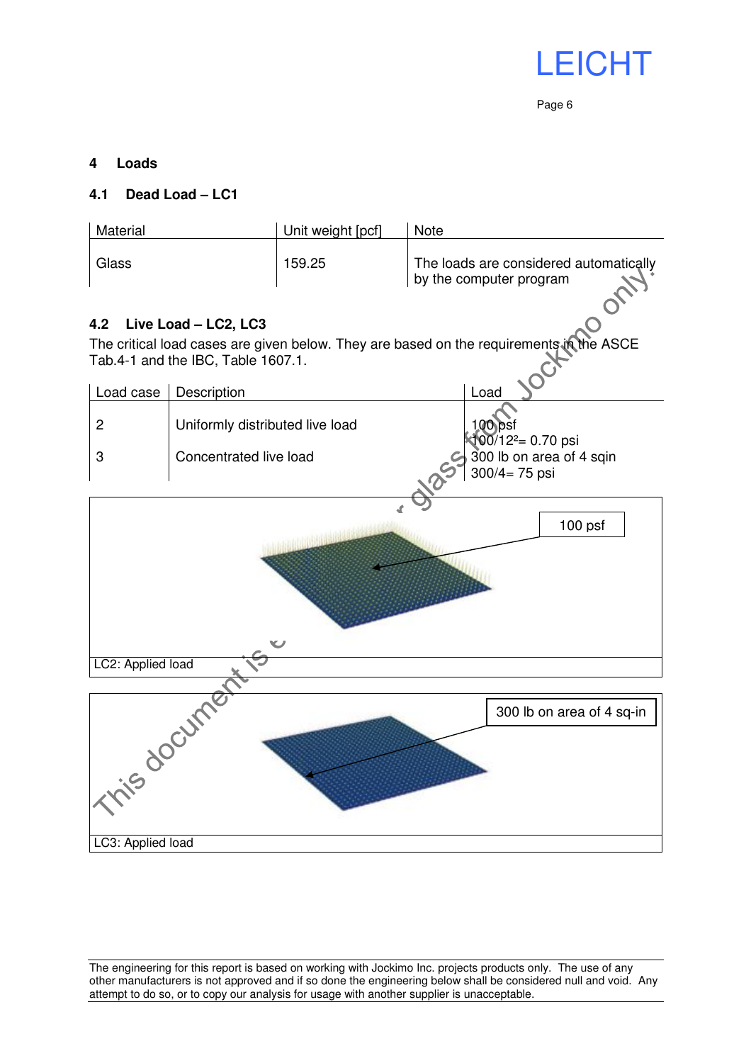

#### **4 Loads**

#### **4.1 Dead Load – LC1**

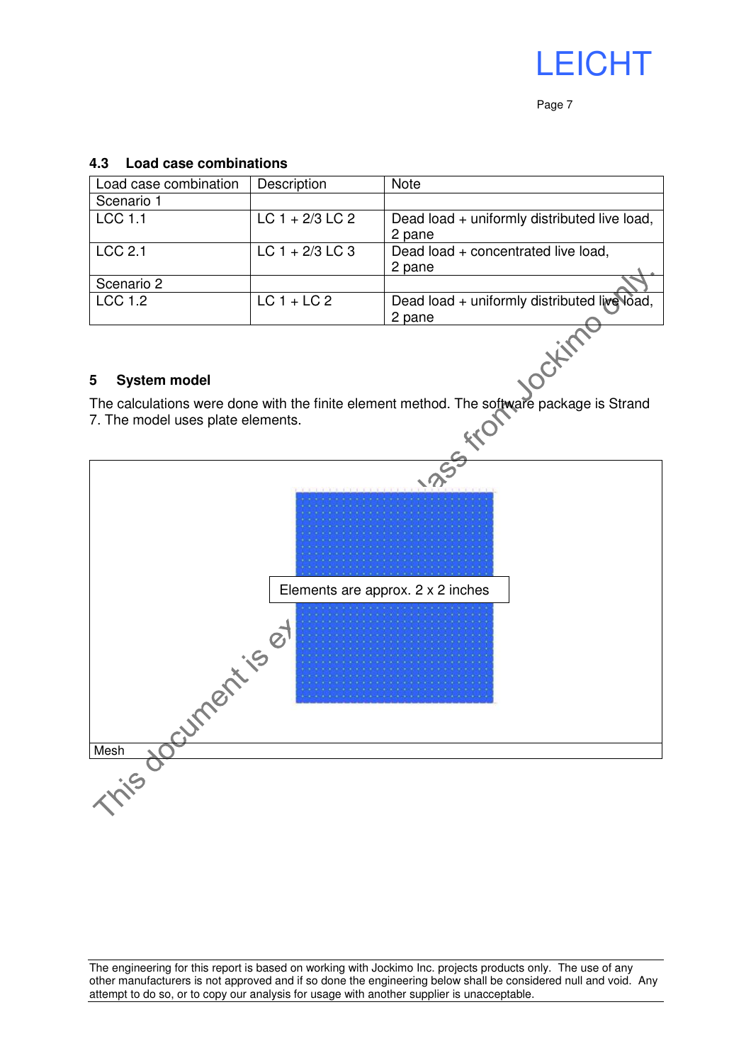

#### **4.3 Load case combinations**

| Load case combination | Description       | <b>Note</b>                                  |  |
|-----------------------|-------------------|----------------------------------------------|--|
| Scenario 1            |                   |                                              |  |
| <b>LCC 1.1</b>        | $LC$ 1 + 2/3 LC 2 | Dead load + uniformly distributed live load, |  |
|                       |                   | 2 pane                                       |  |
| <b>LCC 2.1</b>        | $LC$ 1 + 2/3 LC 3 | Dead load + concentrated live load,          |  |
|                       |                   | 2 pane                                       |  |
| Scenario 2            |                   |                                              |  |
| <b>LCC 1.2</b>        | $LC1 + LC2$       | Dead load + uniformly distributed live load, |  |
|                       |                   | 2 pane                                       |  |

#### **5 System model**

The calculations were done with the finite element method. The software package is Strand 7. The model uses plate elements.

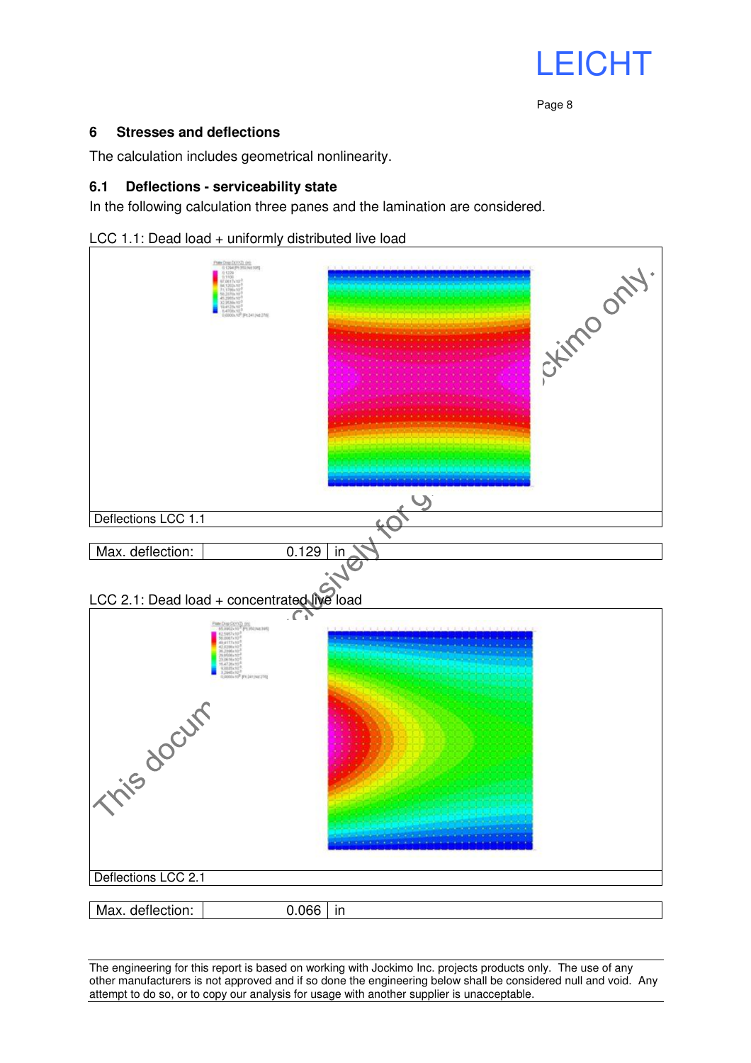#### **6 Stresses and deflections**

The calculation includes geometrical nonlinearity.

#### **6.1 Deflections - serviceability state**

In the following calculation three panes and the lamination are considered.



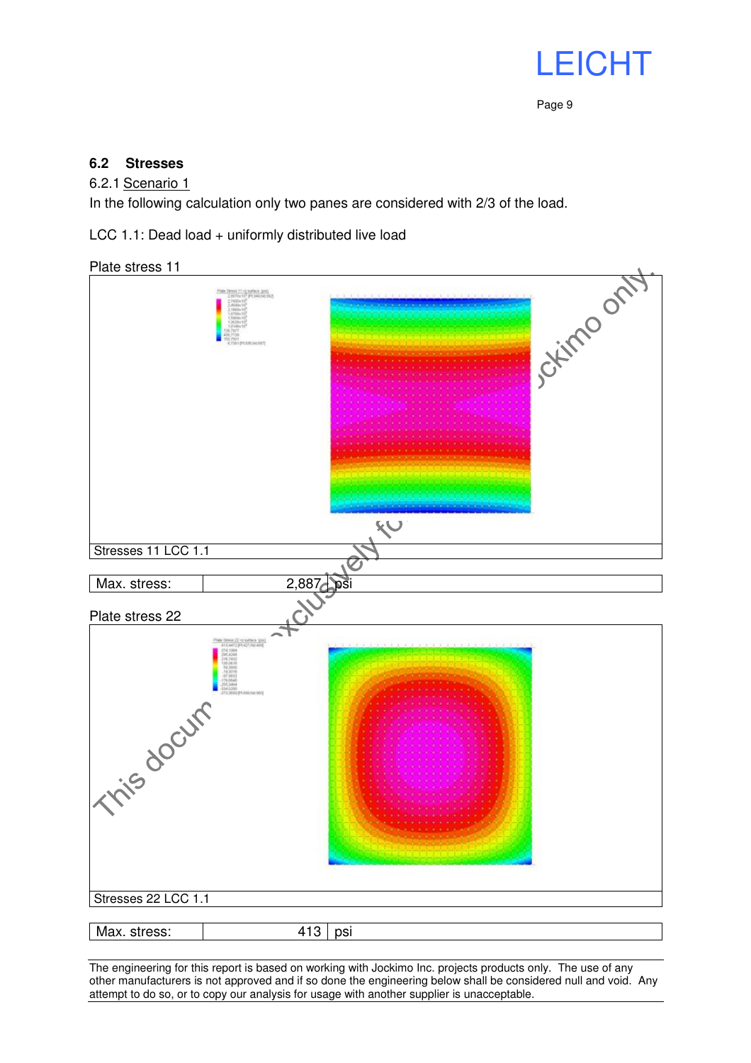

#### **6.2 Stresses**

#### 6.2.1 Scenario 1

In the following calculation only two panes are considered with 2/3 of the load.

LCC 1.1: Dead load + uniformly distributed live load

Plate stress 11

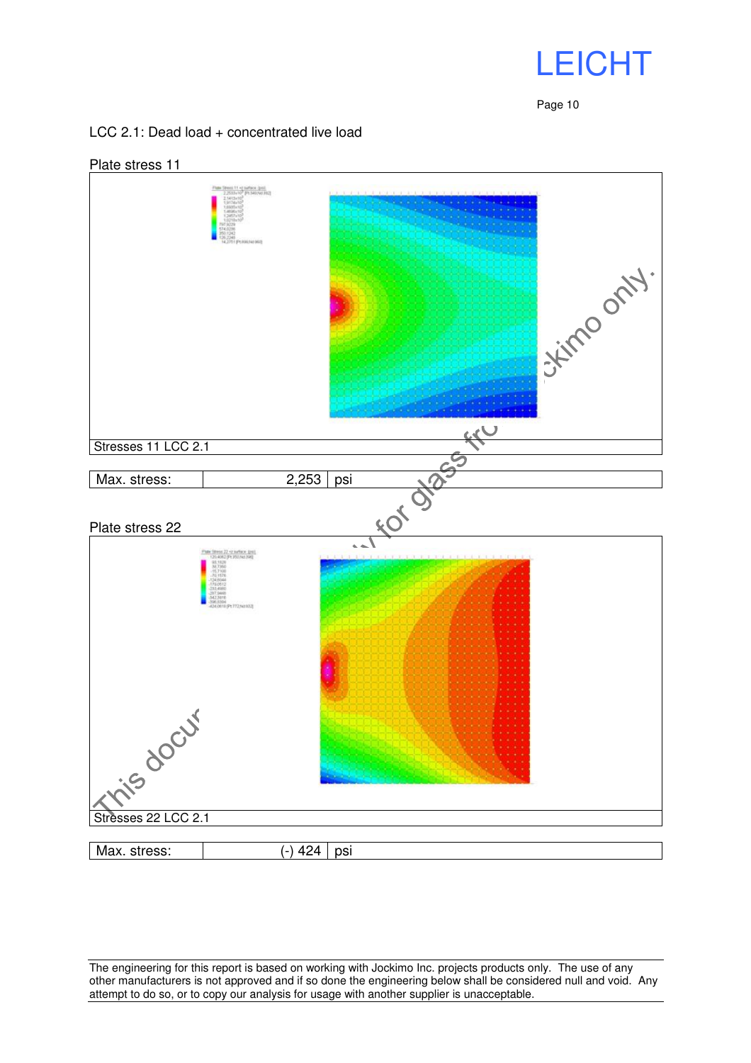

#### LCC 2.1: Dead load + concentrated live load

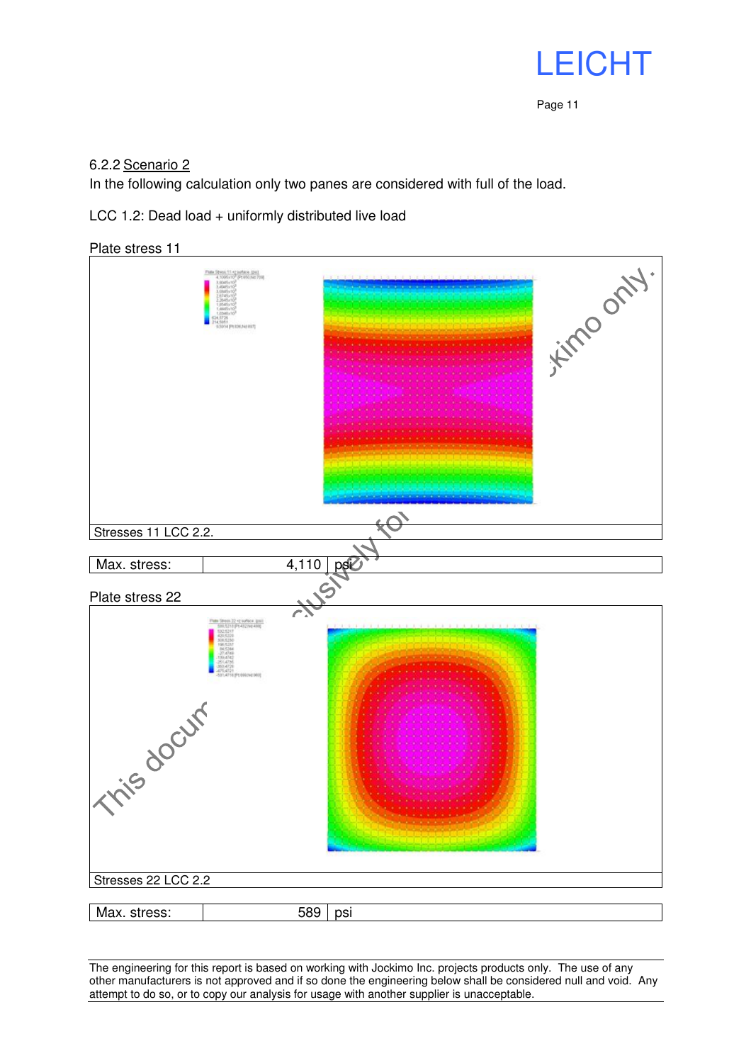

#### 6.2.2 Scenario 2

In the following calculation only two panes are considered with full of the load.

LCC 1.2: Dead load + uniformly distributed live load

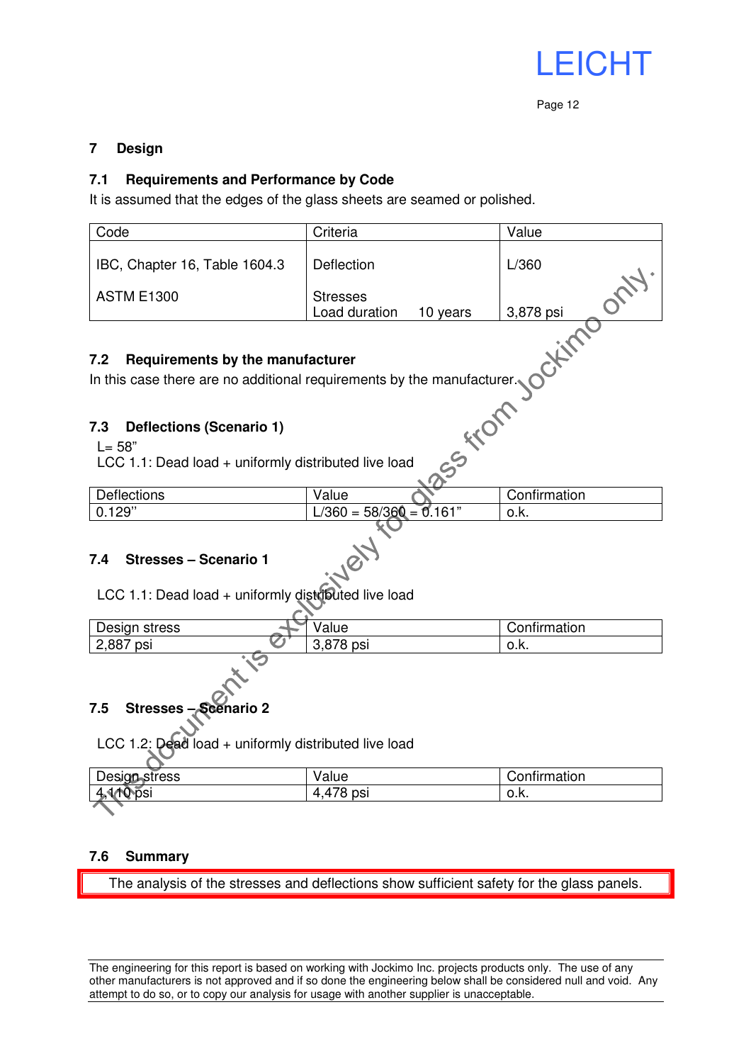

#### **7 Design**

#### **7.1 Requirements and Performance by Code**

It is assumed that the edges of the glass sheets are seamed or polished.

| Code                                                                                                                    | Criteria                                     | Value              |  |  |  |  |  |  |
|-------------------------------------------------------------------------------------------------------------------------|----------------------------------------------|--------------------|--|--|--|--|--|--|
| IBC, Chapter 16, Table 1604.3                                                                                           | Deflection                                   | L/360              |  |  |  |  |  |  |
| <b>ASTM E1300</b>                                                                                                       | <b>Stresses</b><br>Load duration<br>10 years | OCH1.<br>3,878 psi |  |  |  |  |  |  |
| CHIM<br>Requirements by the manufacturer<br>7.2                                                                         |                                              |                    |  |  |  |  |  |  |
| In this case there are no additional requirements by the manufacturer.                                                  |                                              |                    |  |  |  |  |  |  |
|                                                                                                                         |                                              |                    |  |  |  |  |  |  |
| SSSKICIT<br><b>Deflections (Scenario 1)</b><br>7.3<br>$L = 58"$<br>LCC 1.1: Dead load + uniformly distributed live load |                                              |                    |  |  |  |  |  |  |
| Deflections                                                                                                             | Value                                        | Confirmation       |  |  |  |  |  |  |
| 0.129"                                                                                                                  | $L/360 = 58/360 = 0.161"$                    | o.k.               |  |  |  |  |  |  |
| <b>Stresses - Scenario 1</b><br>7.4<br>LCC 1.1: Dead load + uniformly distributed live load                             |                                              |                    |  |  |  |  |  |  |
| Design stress                                                                                                           | Value                                        | Confirmation       |  |  |  |  |  |  |
| 2,887 psi                                                                                                               | 3,878 psi                                    | o.k.               |  |  |  |  |  |  |
|                                                                                                                         |                                              |                    |  |  |  |  |  |  |

### **7.5 Stresses – Scenario 2**

LCC 1.2: Dead load + uniformly distributed live load

| Design stress   | Value          | Confirmation |
|-----------------|----------------|--------------|
| NDSI<br>ъ,<br>w | ,478 psi<br>4. | v.n.         |
|                 |                |              |

#### **7.6 Summary**

The analysis of the stresses and deflections show sufficient safety for the glass panels.